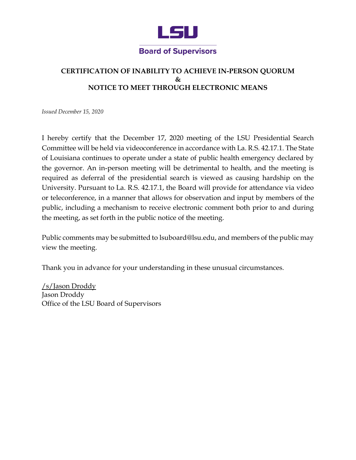

## **CERTIFICATION OF INABILITY TO ACHIEVE IN-PERSON QUORUM**   $\mathcal{R}_{\mathcal{T}}$ **NOTICE TO MEET THROUGH ELECTRONIC MEANS**

*Issued December 15, 2020* 

 I hereby certify that the December 17, 2020 meeting of the LSU Presidential Search of Louisiana continues to operate under a state of public health emergency declared by the governor. An in-person meeting will be detrimental to health, and the meeting is required as deferral of the presidential search is viewed as causing hardship on the University. Pursuant to La. R.S. 42.17.1, the Board will provide for attendance via video or teleconference, in a manner that allows for observation and input by members of the public, including a mechanism to receive electronic comment both prior to and during Committee will be held via videoconference in accordance with La. R.S. 42.17.1. The State the meeting, as set forth in the public notice of the meeting.

 Public comments may be submitted to [lsuboard@lsu.edu,](mailto:lsuboard@lsu.edu) and members of the public may view the meeting.

Thank you in advance for your understanding in these unusual circumstances.

/s/Jason Droddy Jason Droddy Office of the LSU Board of Supervisors